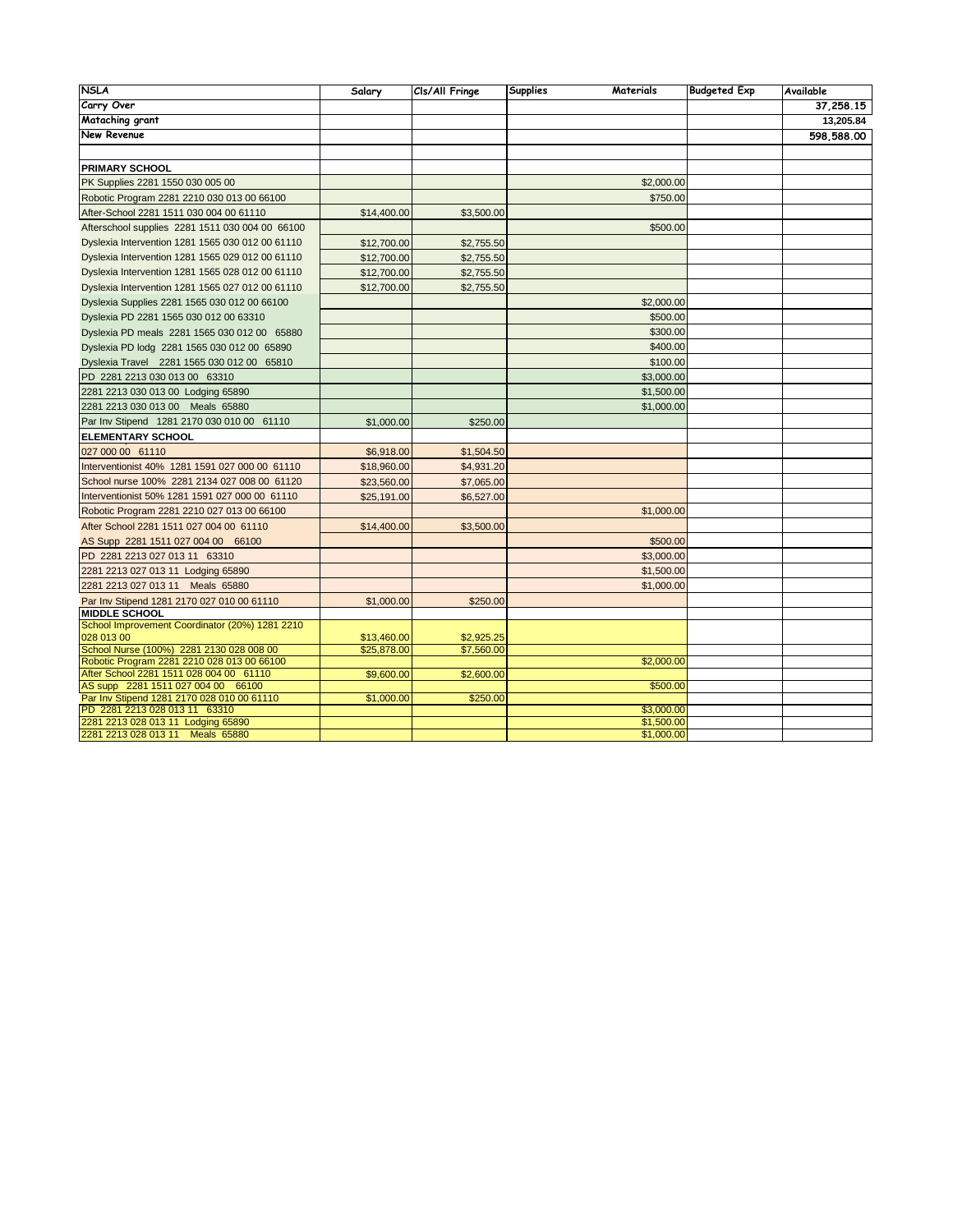| <b>NSLA</b>                                                                   | Salary      | Cls/All Fringe | Supplies<br>Materials | <b>Budgeted Exp</b> | Available  |
|-------------------------------------------------------------------------------|-------------|----------------|-----------------------|---------------------|------------|
| Carry Over                                                                    |             |                |                       |                     | 37,258.15  |
| Mataching grant                                                               |             |                |                       |                     | 13,205.84  |
| New Revenue                                                                   |             |                |                       |                     | 598,588.00 |
|                                                                               |             |                |                       |                     |            |
| <b>PRIMARY SCHOOL</b>                                                         |             |                |                       |                     |            |
| PK Supplies 2281 1550 030 005 00                                              |             |                | \$2,000.00            |                     |            |
| Robotic Program 2281 2210 030 013 00 66100                                    |             |                | \$750.00              |                     |            |
|                                                                               |             |                |                       |                     |            |
| After-School 2281 1511 030 004 00 61110                                       | \$14,400.00 | \$3,500.00     |                       |                     |            |
| Afterschool supplies 2281 1511 030 004 00 66100                               |             |                | \$500.00              |                     |            |
| Dyslexia Intervention 1281 1565 030 012 00 61110                              | \$12,700.00 | \$2,755.50     |                       |                     |            |
| Dyslexia Intervention 1281 1565 029 012 00 61110                              | \$12,700.00 | \$2,755.50     |                       |                     |            |
| Dyslexia Intervention 1281 1565 028 012 00 61110                              | \$12,700.00 | \$2,755.50     |                       |                     |            |
| Dyslexia Intervention 1281 1565 027 012 00 61110                              | \$12,700.00 | \$2,755.50     |                       |                     |            |
| Dyslexia Supplies 2281 1565 030 012 00 66100                                  |             |                | \$2,000.00            |                     |            |
| Dyslexia PD 2281 1565 030 012 00 63310                                        |             |                | \$500.00              |                     |            |
| Dyslexia PD meals 2281 1565 030 012 00 65880                                  |             |                | \$300.00              |                     |            |
| Dyslexia PD lodg 2281 1565 030 012 00 65890                                   |             |                | \$400.00              |                     |            |
| Dyslexia Travel 2281 1565 030 012 00 65810                                    |             |                | \$100.00              |                     |            |
| PD 2281 2213 030 013 00 63310                                                 |             |                | \$3,000.00            |                     |            |
| 2281 2213 030 013 00 Lodging 65890                                            |             |                | \$1,500.00            |                     |            |
| 2281 2213 030 013 00 Meals 65880                                              |             |                | \$1,000.00            |                     |            |
| Par Inv Stipend 1281 2170 030 010 00 61110                                    | \$1,000.00  | \$250.00       |                       |                     |            |
| <b>ELEMENTARY SCHOOL</b>                                                      |             |                |                       |                     |            |
| 027 000 00 61110                                                              | \$6,918.00  | \$1,504.50     |                       |                     |            |
| Interventionist 40% 1281 1591 027 000 00 61110                                | \$18,960.00 | \$4,931.20     |                       |                     |            |
| School nurse 100% 2281 2134 027 008 00 61120                                  | \$23,560.00 | \$7,065.00     |                       |                     |            |
| Interventionist 50% 1281 1591 027 000 00 61110                                | \$25,191.00 | \$6,527.00     |                       |                     |            |
| Robotic Program 2281 2210 027 013 00 66100                                    |             |                | \$1,000.00            |                     |            |
| After School 2281 1511 027 004 00 61110                                       | \$14,400.00 | \$3,500.00     |                       |                     |            |
| AS Supp 2281 1511 027 004 00 66100                                            |             |                | \$500.00              |                     |            |
| PD 2281 2213 027 013 11 63310                                                 |             |                | \$3,000.00            |                     |            |
|                                                                               |             |                | \$1,500.00            |                     |            |
| 2281 2213 027 013 11 Lodging 65890<br>2281 2213 027 013 11 Meals 65880        |             |                | \$1,000.00            |                     |            |
| Par Inv Stipend 1281 2170 027 010 00 61110                                    | \$1,000.00  | \$250.00       |                       |                     |            |
| <b>MIDDLE SCHOOL</b>                                                          |             |                |                       |                     |            |
| School Improvement Coordinator (20%) 1281 2210                                |             |                |                       |                     |            |
| 028 013 00                                                                    | \$13,460.00 | \$2,925.25     |                       |                     |            |
| School Nurse (100%) 2281 2130 028 008 00                                      | \$25,878.00 | \$7,560.00     |                       |                     |            |
| Robotic Program 2281 2210 028 013 00 66100                                    |             |                | \$2,000.00            |                     |            |
| After School 2281 1511 028 004 00 61110<br>AS supp 2281 1511 027 004 00 66100 | \$9,600.00  | \$2,600.00     | \$500.00              |                     |            |
| Par Inv Stipend 1281 2170 028 010 00 61110                                    | \$1,000.00  | \$250.00       |                       |                     |            |
| PD 2281 2213 028 013 11 63310                                                 |             |                | \$3,000.00            |                     |            |
| 2281 2213 028 013 11 Lodging 65890                                            |             |                | \$1,500.00            |                     |            |
| 2281 2213 028 013 11 Meals 65880                                              |             |                | \$1,000.00            |                     |            |